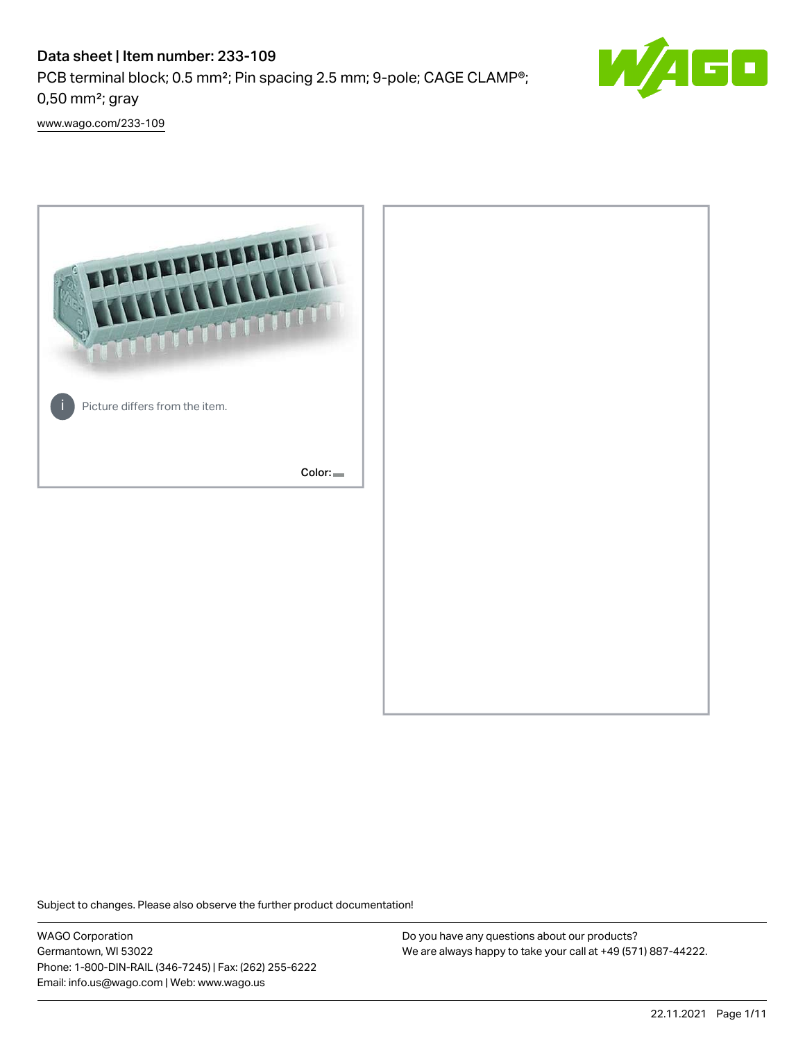# Data sheet | Item number: 233-109



PCB terminal block; 0.5 mm²; Pin spacing 2.5 mm; 9-pole; CAGE CLAMP®; 0,50 mm²; gray

[www.wago.com/233-109](http://www.wago.com/233-109)



Subject to changes. Please also observe the further product documentation!

WAGO Corporation Germantown, WI 53022 Phone: 1-800-DIN-RAIL (346-7245) | Fax: (262) 255-6222 Email: info.us@wago.com | Web: www.wago.us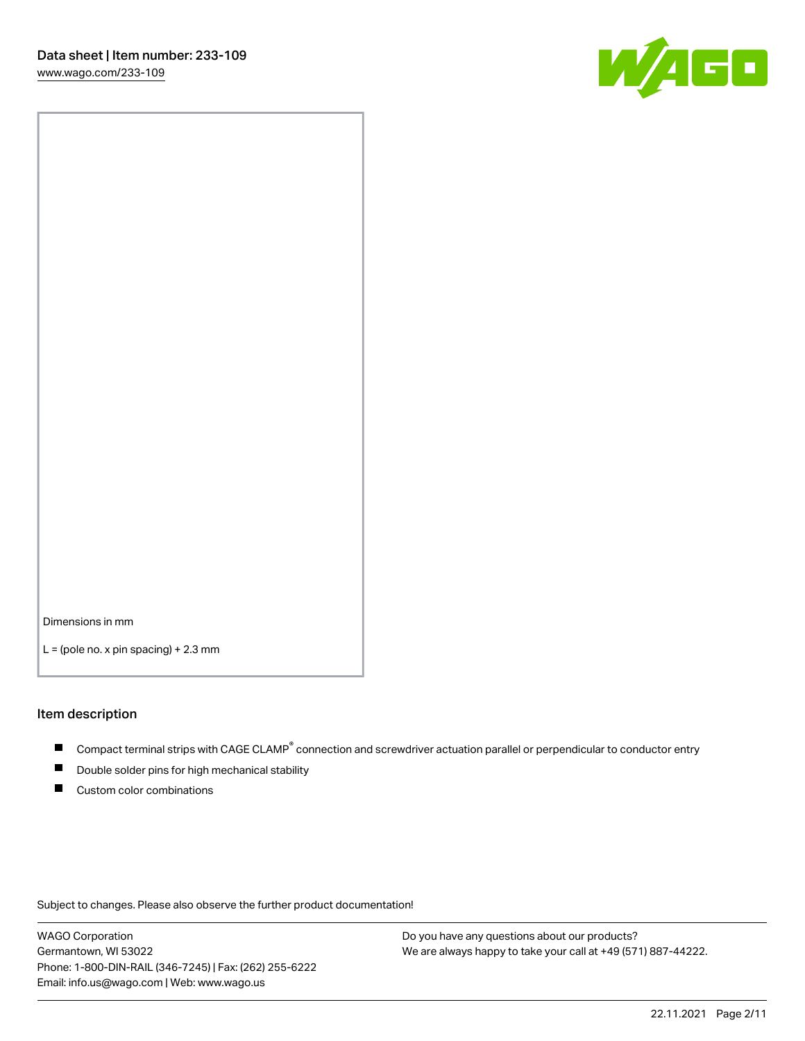

Dimensions in mm

 $L =$  (pole no. x pin spacing) + 2.3 mm

#### Item description

- Compact terminal strips with CAGE CLAMP<sup>®</sup> connection and screwdriver actuation parallel or perpendicular to conductor entry
- Double solder pins for high mechanical stability
- Custom color combinations

Subject to changes. Please also observe the further product documentation!

WAGO Corporation Germantown, WI 53022 Phone: 1-800-DIN-RAIL (346-7245) | Fax: (262) 255-6222 Email: info.us@wago.com | Web: www.wago.us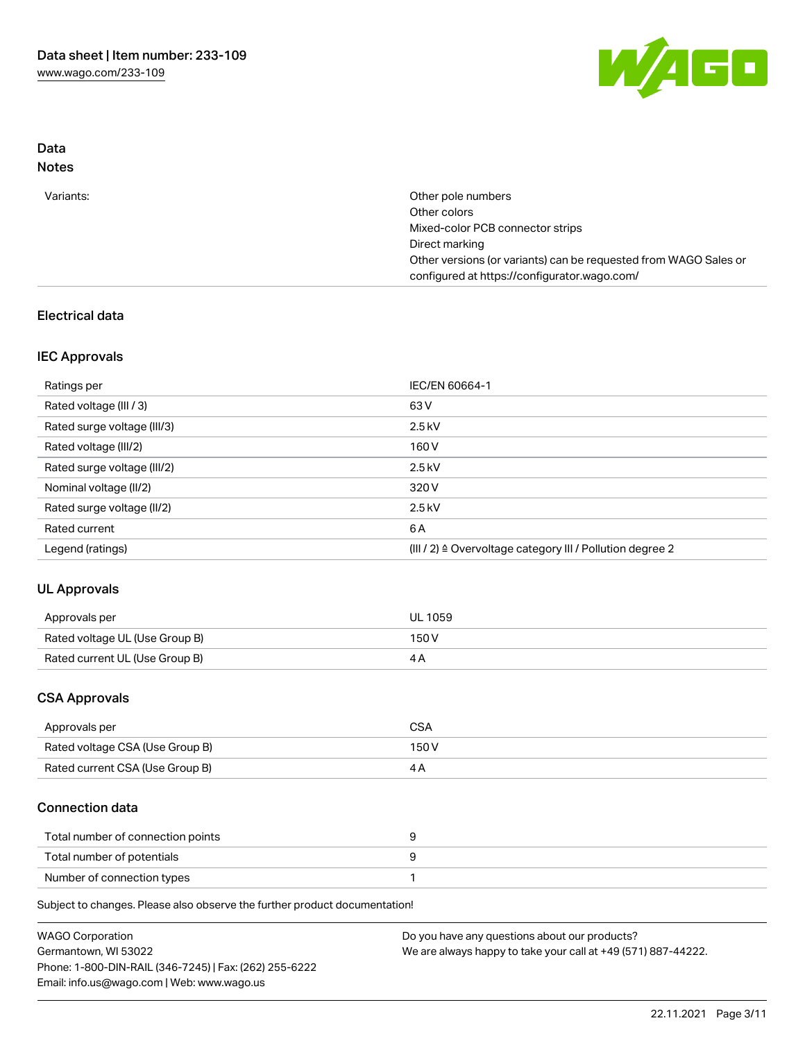

## Data Notes

| Variants: | Other pole numbers                                               |
|-----------|------------------------------------------------------------------|
|           | Other colors                                                     |
|           | Mixed-color PCB connector strips                                 |
|           | Direct marking                                                   |
|           | Other versions (or variants) can be requested from WAGO Sales or |
|           | configured at https://configurator.wago.com/                     |
|           |                                                                  |

# Electrical data

## IEC Approvals

| Ratings per                 | IEC/EN 60664-1                                                        |
|-----------------------------|-----------------------------------------------------------------------|
| Rated voltage (III / 3)     | 63 V                                                                  |
| Rated surge voltage (III/3) | $2.5$ kV                                                              |
| Rated voltage (III/2)       | 160 V                                                                 |
| Rated surge voltage (III/2) | $2.5$ kV                                                              |
| Nominal voltage (II/2)      | 320 V                                                                 |
| Rated surge voltage (II/2)  | $2.5$ kV                                                              |
| Rated current               | 6 A                                                                   |
| Legend (ratings)            | $(III / 2)$ $\triangle$ Overvoltage category III / Pollution degree 2 |

# UL Approvals

| Approvals per                  | UL 1059 |
|--------------------------------|---------|
| Rated voltage UL (Use Group B) | 150 V   |
| Rated current UL (Use Group B) |         |

## CSA Approvals

| Approvals per                   | CSA   |
|---------------------------------|-------|
| Rated voltage CSA (Use Group B) | 150 V |
| Rated current CSA (Use Group B) |       |

#### Connection data

| Total number of connection points |  |
|-----------------------------------|--|
| Total number of potentials        |  |
| Number of connection types        |  |

Subject to changes. Please also observe the further product documentation!

| <b>WAGO Corporation</b>                                | Do you have any questions about our products?                 |
|--------------------------------------------------------|---------------------------------------------------------------|
| Germantown, WI 53022                                   | We are always happy to take your call at +49 (571) 887-44222. |
| Phone: 1-800-DIN-RAIL (346-7245)   Fax: (262) 255-6222 |                                                               |
| Email: info.us@wago.com   Web: www.wago.us             |                                                               |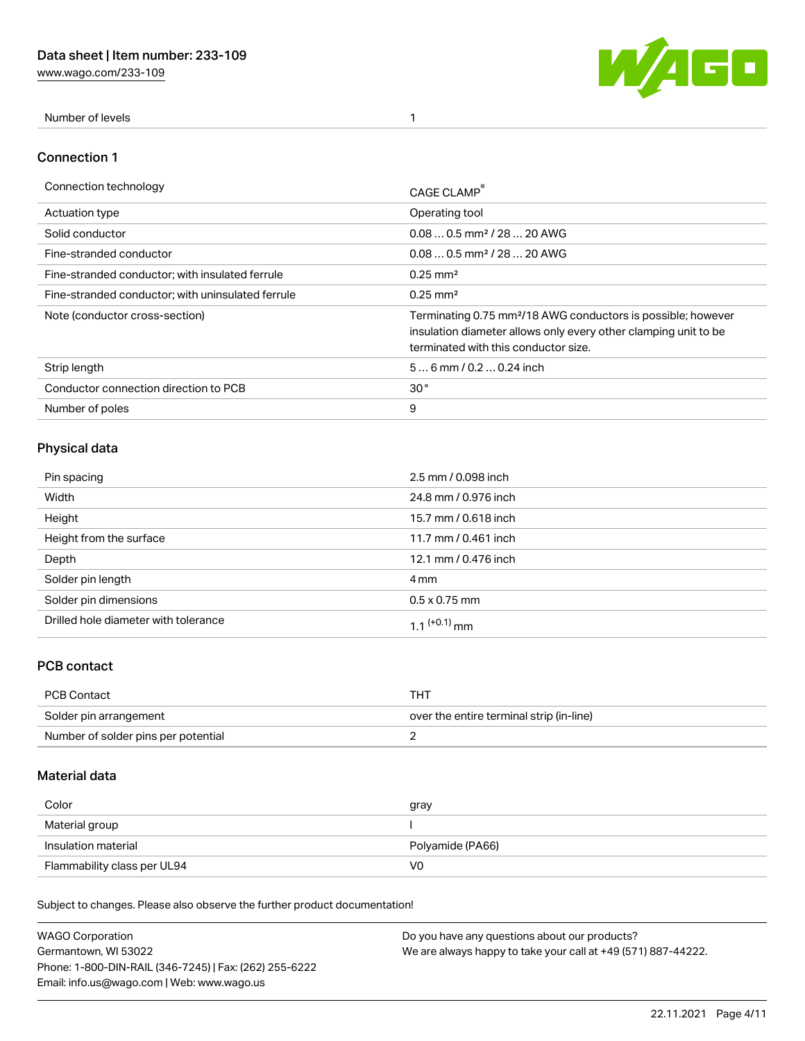[www.wago.com/233-109](http://www.wago.com/233-109)



Number of levels 1

#### Connection 1

| Connection technology                             | CAGE CLAMP                                                                                                                                                                          |
|---------------------------------------------------|-------------------------------------------------------------------------------------------------------------------------------------------------------------------------------------|
| <b>Actuation type</b>                             | Operating tool                                                                                                                                                                      |
| Solid conductor                                   | $0.080.5$ mm <sup>2</sup> / 28  20 AWG                                                                                                                                              |
| Fine-stranded conductor                           | $0.080.5$ mm <sup>2</sup> / 28  20 AWG                                                                                                                                              |
| Fine-stranded conductor; with insulated ferrule   | $0.25 \text{ mm}^2$                                                                                                                                                                 |
| Fine-stranded conductor: with uninsulated ferrule | $0.25 \text{ mm}^2$                                                                                                                                                                 |
| Note (conductor cross-section)                    | Terminating 0.75 mm <sup>2</sup> /18 AWG conductors is possible; however<br>insulation diameter allows only every other clamping unit to be<br>terminated with this conductor size. |
| Strip length                                      | $56$ mm $/ 0.20.24$ inch                                                                                                                                                            |
| Conductor connection direction to PCB             | 30 <sup>°</sup>                                                                                                                                                                     |
| Number of poles                                   | 9                                                                                                                                                                                   |

# Physical data

| Pin spacing                          | 2.5 mm / 0.098 inch  |
|--------------------------------------|----------------------|
| Width                                | 24.8 mm / 0.976 inch |
| Height                               | 15.7 mm / 0.618 inch |
| Height from the surface              | 11.7 mm / 0.461 inch |
| Depth                                | 12.1 mm / 0.476 inch |
| Solder pin length                    | 4 mm                 |
| Solder pin dimensions                | $0.5 \times 0.75$ mm |
| Drilled hole diameter with tolerance | 1 1 $(+0.1)$ mm      |

# PCB contact

| PCB Contact                         | THT                                      |
|-------------------------------------|------------------------------------------|
| Solder pin arrangement              | over the entire terminal strip (in-line) |
| Number of solder pins per potential |                                          |

## Material data

| Color               | gray             |
|---------------------|------------------|
| Material group      |                  |
| Insulation material | Polyamide (PA66) |
|                     |                  |

Subject to changes. Please also observe the further product documentation!

| <b>WAGO Corporation</b>                                | Do you have any questions about our products?                 |
|--------------------------------------------------------|---------------------------------------------------------------|
| Germantown, WI 53022                                   | We are always happy to take your call at +49 (571) 887-44222. |
| Phone: 1-800-DIN-RAIL (346-7245)   Fax: (262) 255-6222 |                                                               |
| Email: info.us@wago.com   Web: www.wago.us             |                                                               |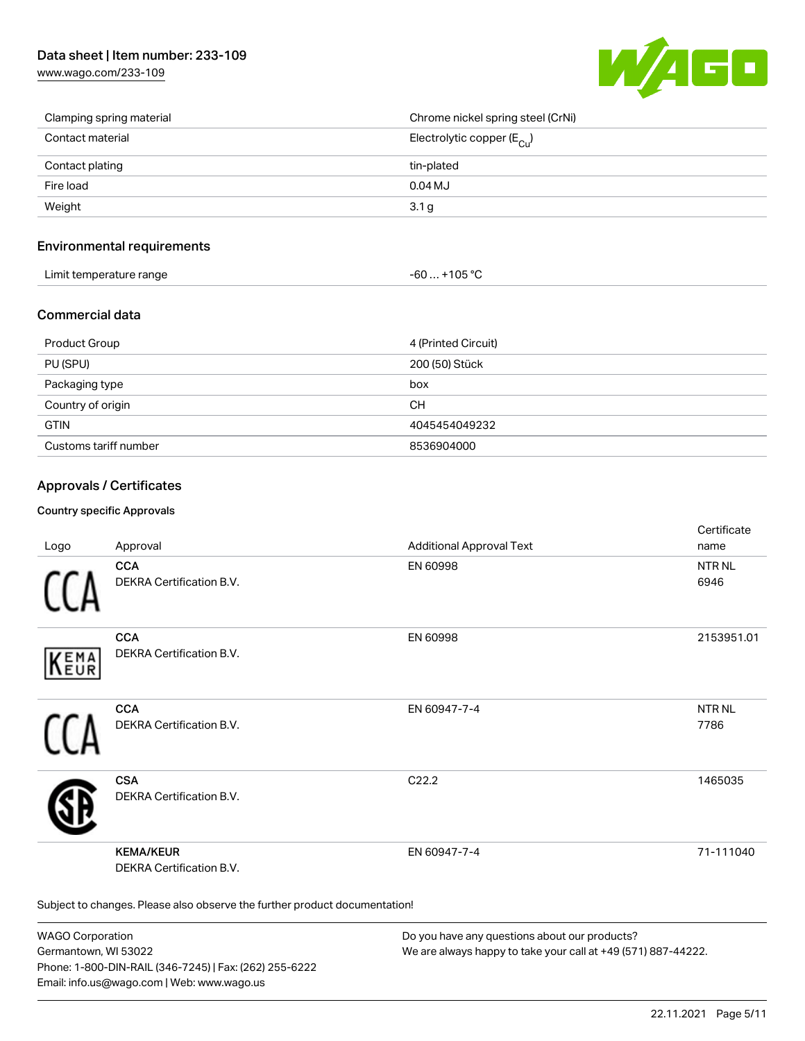[www.wago.com/233-109](http://www.wago.com/233-109)



| Clamping spring material | Chrome nickel spring steel (CrNi)       |
|--------------------------|-----------------------------------------|
| Contact material         | Electrolytic copper ( $E_{\text{Cu}}$ ) |
| Contact plating          | tin-plated                              |
| Fire load                | $0.04$ MJ                               |
| Weight                   | 3.1 <sub>g</sub>                        |

#### Environmental requirements

| 1000<br>Limit temperature range<br>105<br>UU<br>. .<br>. |  |
|----------------------------------------------------------|--|
|----------------------------------------------------------|--|

#### Commercial data

| Product Group         | 4 (Printed Circuit) |
|-----------------------|---------------------|
| PU (SPU)              | 200 (50) Stück      |
| Packaging type        | box                 |
| Country of origin     | <b>CH</b>           |
| <b>GTIN</b>           | 4045454049232       |
| Customs tariff number | 8536904000          |

## Approvals / Certificates

#### Country specific Approvals

| Logo       | Approval                                                                   | <b>Additional Approval Text</b> | Certificate<br>name  |
|------------|----------------------------------------------------------------------------|---------------------------------|----------------------|
|            | <b>CCA</b><br>DEKRA Certification B.V.                                     | EN 60998                        | <b>NTRNL</b><br>6946 |
| EMA<br>EUR | <b>CCA</b><br>DEKRA Certification B.V.                                     | EN 60998                        | 2153951.01           |
|            | <b>CCA</b><br>DEKRA Certification B.V.                                     | EN 60947-7-4                    | <b>NTRNL</b><br>7786 |
|            | <b>CSA</b><br>DEKRA Certification B.V.                                     | C22.2                           | 1465035              |
|            | <b>KEMA/KEUR</b><br>DEKRA Certification B.V.                               | EN 60947-7-4                    | 71-111040            |
|            | Subject to changes. Please also observe the further product documentation! |                                 |                      |

WAGO Corporation Germantown, WI 53022 Phone: 1-800-DIN-RAIL (346-7245) | Fax: (262) 255-6222 Email: info.us@wago.com | Web: www.wago.us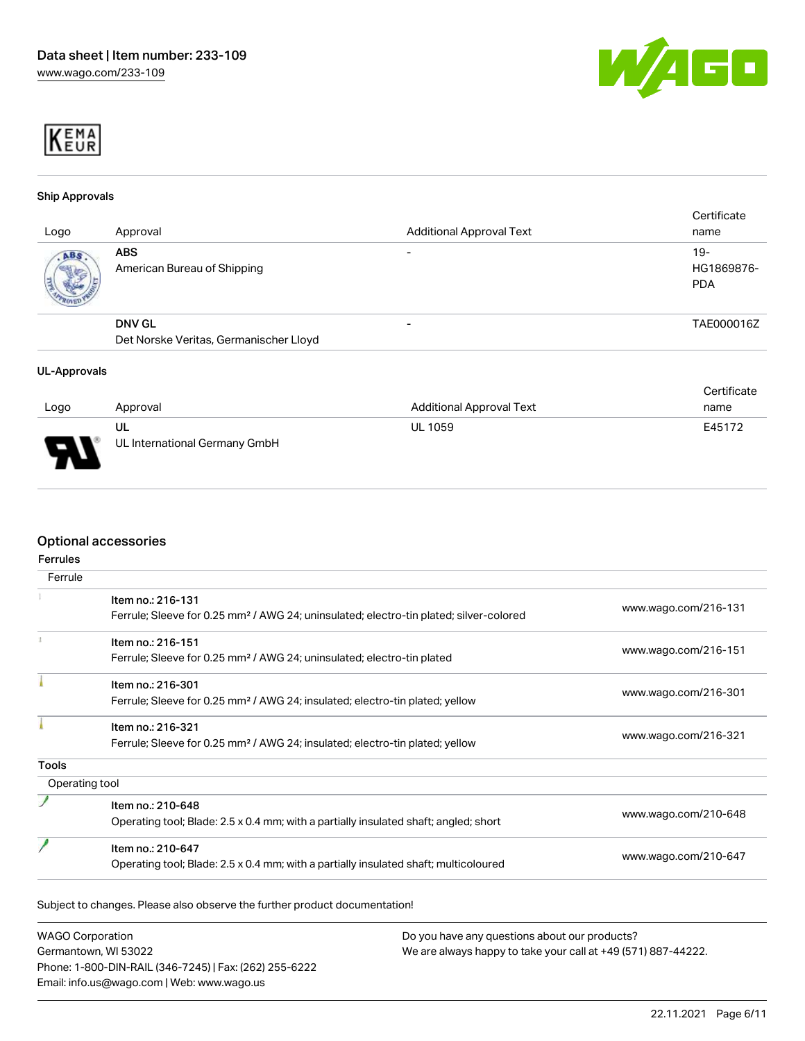



#### Ship Approvals

| Logo | Approval                                                | <b>Additional Approval Text</b> | Certificate<br>name               |
|------|---------------------------------------------------------|---------------------------------|-----------------------------------|
| ABS  | <b>ABS</b><br>American Bureau of Shipping               |                                 | $19-$<br>HG1869876-<br><b>PDA</b> |
|      | <b>DNV GL</b><br>Det Norske Veritas, Germanischer Lloyd | -                               | TAE000016Z                        |

#### UL-Approvals

|      |                               |                                 | Certificate |
|------|-------------------------------|---------------------------------|-------------|
| Logo | Approval                      | <b>Additional Approval Text</b> | name        |
|      | UL                            | <b>UL 1059</b>                  | E45172      |
| J    | UL International Germany GmbH |                                 |             |

#### Optional accessories

| Ferrule        |                                                                                                    |                      |  |
|----------------|----------------------------------------------------------------------------------------------------|----------------------|--|
|                | Item no.: 216-131                                                                                  | www.wago.com/216-131 |  |
|                | Ferrule; Sleeve for 0.25 mm <sup>2</sup> / AWG 24; uninsulated; electro-tin plated; silver-colored |                      |  |
|                | Item no.: 216-151                                                                                  |                      |  |
|                | Ferrule; Sleeve for 0.25 mm <sup>2</sup> / AWG 24; uninsulated; electro-tin plated                 | www.wago.com/216-151 |  |
|                | Item no.: 216-301                                                                                  |                      |  |
|                | Ferrule; Sleeve for 0.25 mm <sup>2</sup> / AWG 24; insulated; electro-tin plated; yellow           | www.wago.com/216-301 |  |
|                | Item no.: 216-321                                                                                  |                      |  |
|                | Ferrule; Sleeve for 0.25 mm <sup>2</sup> / AWG 24; insulated; electro-tin plated; yellow           | www.wago.com/216-321 |  |
| <b>Tools</b>   |                                                                                                    |                      |  |
| Operating tool |                                                                                                    |                      |  |
|                | Item no.: 210-648                                                                                  |                      |  |
|                | Operating tool; Blade: 2.5 x 0.4 mm; with a partially insulated shaft; angled; short               | www.wago.com/210-648 |  |
|                | Item no.: 210-647                                                                                  |                      |  |
|                | Operating tool; Blade: 2.5 x 0.4 mm; with a partially insulated shaft; multicoloured               | www.wago.com/210-647 |  |

WAGO Corporation Germantown, WI 53022 Phone: 1-800-DIN-RAIL (346-7245) | Fax: (262) 255-6222 Email: info.us@wago.com | Web: www.wago.us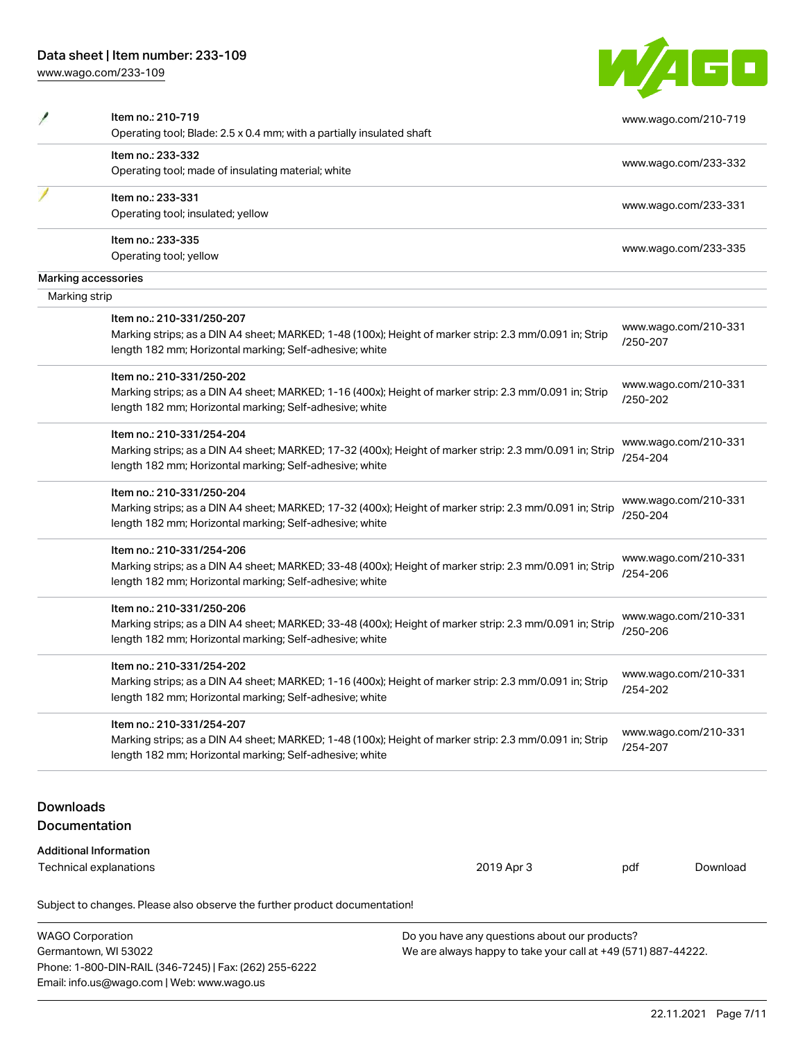Phone: 1-800-DIN-RAIL (346-7245) | Fax: (262) 255-6222

Email: info.us@wago.com | Web: www.wago.us

[www.wago.com/233-109](http://www.wago.com/233-109)

|--|

|                  | Item no.: 210-719<br>Operating tool; Blade: 2.5 x 0.4 mm; with a partially insulated shaft              |                                                               |          | www.wago.com/210-719 |
|------------------|---------------------------------------------------------------------------------------------------------|---------------------------------------------------------------|----------|----------------------|
|                  | Item no.: 233-332                                                                                       |                                                               |          |                      |
|                  | Operating tool; made of insulating material; white                                                      |                                                               |          | www.wago.com/233-332 |
|                  | Item no.: 233-331                                                                                       |                                                               |          |                      |
|                  | Operating tool; insulated; yellow                                                                       |                                                               |          | www.wago.com/233-331 |
|                  | Item no.: 233-335                                                                                       |                                                               |          | www.wago.com/233-335 |
|                  | Operating tool; yellow                                                                                  |                                                               |          |                      |
|                  | Marking accessories                                                                                     |                                                               |          |                      |
| Marking strip    |                                                                                                         |                                                               |          |                      |
|                  | Item no.: 210-331/250-207                                                                               |                                                               |          |                      |
|                  | Marking strips; as a DIN A4 sheet; MARKED; 1-48 (100x); Height of marker strip: 2.3 mm/0.091 in; Strip  |                                                               |          | www.wago.com/210-331 |
|                  | length 182 mm; Horizontal marking; Self-adhesive; white                                                 |                                                               | /250-207 |                      |
|                  | Item no.: 210-331/250-202                                                                               |                                                               |          |                      |
|                  | Marking strips; as a DIN A4 sheet; MARKED; 1-16 (400x); Height of marker strip: 2.3 mm/0.091 in; Strip  |                                                               |          | www.wago.com/210-331 |
|                  | length 182 mm; Horizontal marking; Self-adhesive; white                                                 |                                                               | /250-202 |                      |
|                  | Item no.: 210-331/254-204                                                                               |                                                               |          |                      |
|                  | Marking strips; as a DIN A4 sheet; MARKED; 17-32 (400x); Height of marker strip: 2.3 mm/0.091 in; Strip |                                                               |          | www.wago.com/210-331 |
|                  | length 182 mm; Horizontal marking; Self-adhesive; white                                                 |                                                               | /254-204 |                      |
|                  | Item no.: 210-331/250-204                                                                               |                                                               |          |                      |
|                  | Marking strips; as a DIN A4 sheet; MARKED; 17-32 (400x); Height of marker strip: 2.3 mm/0.091 in; Strip |                                                               |          | www.wago.com/210-331 |
|                  | length 182 mm; Horizontal marking; Self-adhesive; white                                                 |                                                               | /250-204 |                      |
|                  | Item no.: 210-331/254-206                                                                               |                                                               |          |                      |
|                  | Marking strips; as a DIN A4 sheet; MARKED; 33-48 (400x); Height of marker strip: 2.3 mm/0.091 in; Strip |                                                               |          | www.wago.com/210-331 |
|                  | length 182 mm; Horizontal marking; Self-adhesive; white                                                 |                                                               | /254-206 |                      |
|                  | Item no.: 210-331/250-206                                                                               |                                                               |          |                      |
|                  | Marking strips; as a DIN A4 sheet; MARKED; 33-48 (400x); Height of marker strip: 2.3 mm/0.091 in; Strip |                                                               |          | www.wago.com/210-331 |
|                  | length 182 mm; Horizontal marking; Self-adhesive; white                                                 |                                                               | /250-206 |                      |
|                  | Item no.: 210-331/254-202                                                                               |                                                               |          |                      |
|                  | Marking strips; as a DIN A4 sheet; MARKED; 1-16 (400x); Height of marker strip: 2.3 mm/0.091 in; Strip  |                                                               |          | www.wago.com/210-331 |
|                  | length 182 mm; Horizontal marking; Self-adhesive; white                                                 |                                                               | /254-202 |                      |
|                  | Item no.: 210-331/254-207                                                                               |                                                               |          |                      |
|                  | Marking strips; as a DIN A4 sheet; MARKED; 1-48 (100x); Height of marker strip: 2.3 mm/0.091 in; Strip  |                                                               |          | www.wago.com/210-331 |
|                  | length 182 mm; Horizontal marking; Self-adhesive; white                                                 |                                                               | /254-207 |                      |
|                  |                                                                                                         |                                                               |          |                      |
| <b>Downloads</b> |                                                                                                         |                                                               |          |                      |
|                  | <b>Documentation</b>                                                                                    |                                                               |          |                      |
|                  | <b>Additional Information</b>                                                                           |                                                               |          |                      |
|                  | Technical explanations                                                                                  | 2019 Apr 3                                                    | pdf      | Download             |
|                  |                                                                                                         |                                                               |          |                      |
|                  | Subject to changes. Please also observe the further product documentation!                              |                                                               |          |                      |
|                  | <b>WAGO Corporation</b>                                                                                 | Do you have any questions about our products?                 |          |                      |
|                  | Germantown, WI 53022                                                                                    | We are always happy to take your call at +49 (571) 887-44222. |          |                      |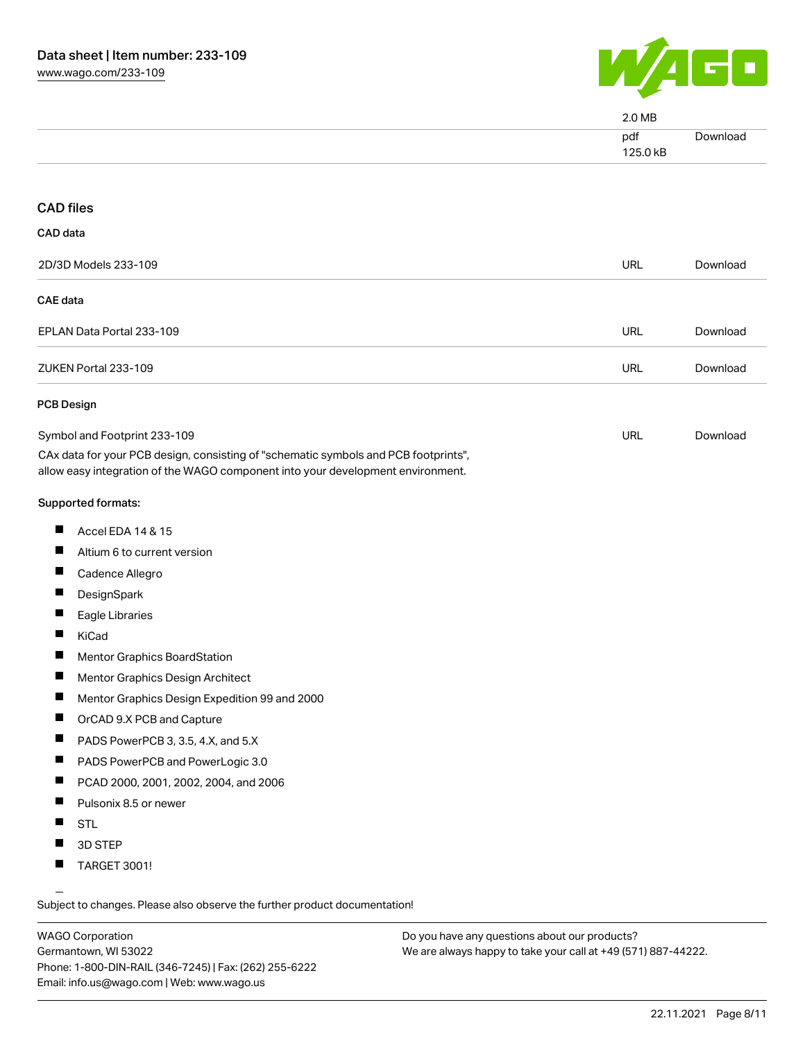

|                                                                                                                                                                        | 2.0 MB          |          |
|------------------------------------------------------------------------------------------------------------------------------------------------------------------------|-----------------|----------|
|                                                                                                                                                                        | pdf<br>125.0 kB | Download |
|                                                                                                                                                                        |                 |          |
| <b>CAD files</b>                                                                                                                                                       |                 |          |
| CAD data                                                                                                                                                               |                 |          |
| 2D/3D Models 233-109                                                                                                                                                   | <b>URL</b>      | Download |
| <b>CAE</b> data                                                                                                                                                        |                 |          |
| EPLAN Data Portal 233-109                                                                                                                                              | <b>URL</b>      | Download |
| ZUKEN Portal 233-109                                                                                                                                                   | URL             | Download |
| <b>PCB Design</b>                                                                                                                                                      |                 |          |
| Symbol and Footprint 233-109                                                                                                                                           | URL             | Download |
| CAx data for your PCB design, consisting of "schematic symbols and PCB footprints",<br>allow easy integration of the WAGO component into your development environment. |                 |          |
| Supported formats:                                                                                                                                                     |                 |          |
| ш<br>Accel EDA 14 & 15                                                                                                                                                 |                 |          |
| ш<br>Altium 6 to current version                                                                                                                                       |                 |          |
| Ш<br>Cadence Allegro                                                                                                                                                   |                 |          |
| ш<br>DesignSpark                                                                                                                                                       |                 |          |
| Ш<br>Eagle Libraries                                                                                                                                                   |                 |          |
| H<br>KiCad                                                                                                                                                             |                 |          |
| ш<br>Mentor Graphics BoardStation                                                                                                                                      |                 |          |
| п<br>Mentor Graphics Design Architect                                                                                                                                  |                 |          |
| Mentor Graphics Design Expedition 99 and 2000                                                                                                                          |                 |          |
| Ш<br>OrCAD 9.X PCB and Capture                                                                                                                                         |                 |          |
| Ш<br>PADS PowerPCB 3, 3.5, 4.X, and 5.X                                                                                                                                |                 |          |
| ш<br>PADS PowerPCB and PowerLogic 3.0                                                                                                                                  |                 |          |
| П<br>PCAD 2000, 2001, 2002, 2004, and 2006                                                                                                                             |                 |          |
| ш<br>Pulsonix 8.5 or newer                                                                                                                                             |                 |          |
| <b>STL</b>                                                                                                                                                             |                 |          |
| ш<br>3D STEP                                                                                                                                                           |                 |          |
| ц<br>TARGET 3001!                                                                                                                                                      |                 |          |

Subject to changes. Please also observe the further product documentation!

WAGO Corporation Germantown, WI 53022 Phone: 1-800-DIN-RAIL (346-7245) | Fax: (262) 255-6222 Email: info.us@wago.com | Web: www.wago.us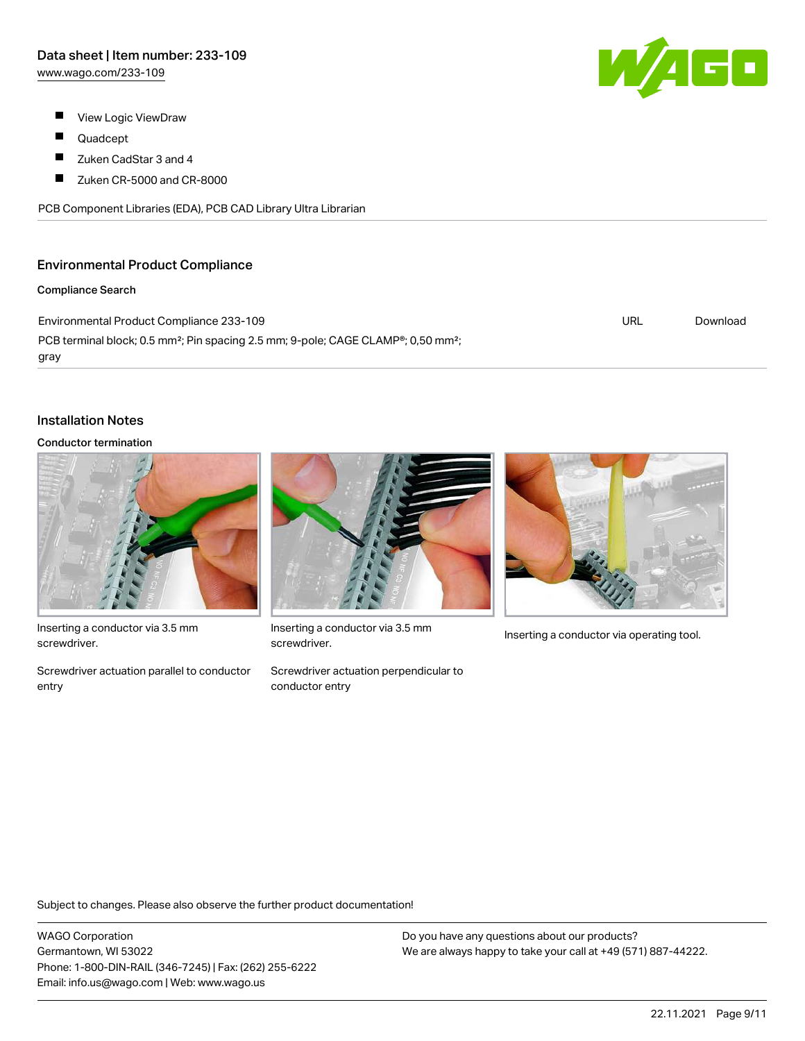- $\blacksquare$ View Logic ViewDraw
- П Quadcept
- $\blacksquare$ Zuken CadStar 3 and 4
- $\blacksquare$ Zuken CR-5000 and CR-8000

PCB Component Libraries (EDA), PCB CAD Library Ultra Librarian

#### Environmental Product Compliance

#### Compliance Search

Environmental Product Compliance 233-109 PCB terminal block; 0.5 mm<sup>2</sup>; Pin spacing 2.5 mm; 9-pole; CAGE CLAMP®; 0,50 mm<sup>2</sup>; gray

# Installation Notes

#### Conductor termination



Inserting a conductor via 3.5 mm screwdriver.

Screwdriver actuation parallel to conductor entry



Inserting a conductor via 3.5 mm<br>Inserting a conductor via operating tool. screwdriver.

Screwdriver actuation perpendicular to conductor entry



Subject to changes. Please also observe the further product documentation!

WAGO Corporation Germantown, WI 53022 Phone: 1-800-DIN-RAIL (346-7245) | Fax: (262) 255-6222 Email: info.us@wago.com | Web: www.wago.us

Do you have any questions about our products? We are always happy to take your call at +49 (571) 887-44222.



URL [Download](https://www.wago.com/global/d/ComplianceLinkMediaContainer_233-109)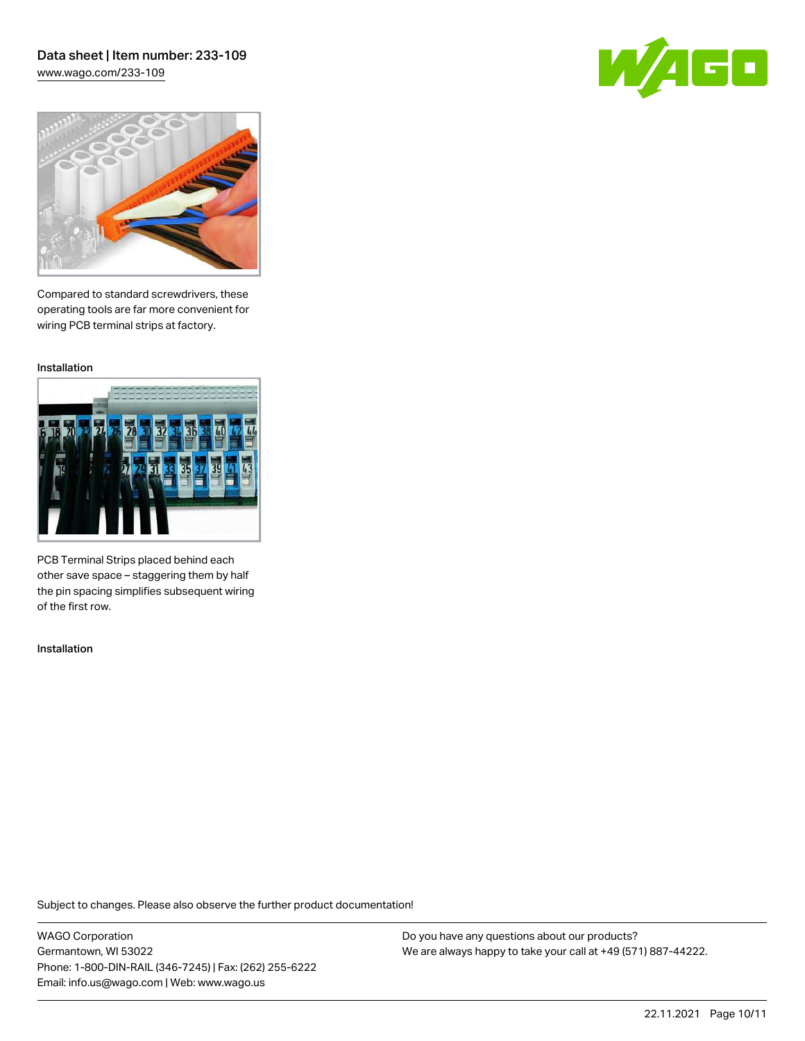#### Data sheet | Item number: 233-109 [www.wago.com/233-109](http://www.wago.com/233-109)

60



Compared to standard screwdrivers, these operating tools are far more convenient for wiring PCB terminal strips at factory.

Installation



PCB Terminal Strips placed behind each other save space – staggering them by half the pin spacing simplifies subsequent wiring of the first row.

Installation

Subject to changes. Please also observe the further product documentation!

WAGO Corporation Germantown, WI 53022 Phone: 1-800-DIN-RAIL (346-7245) | Fax: (262) 255-6222 Email: info.us@wago.com | Web: www.wago.us